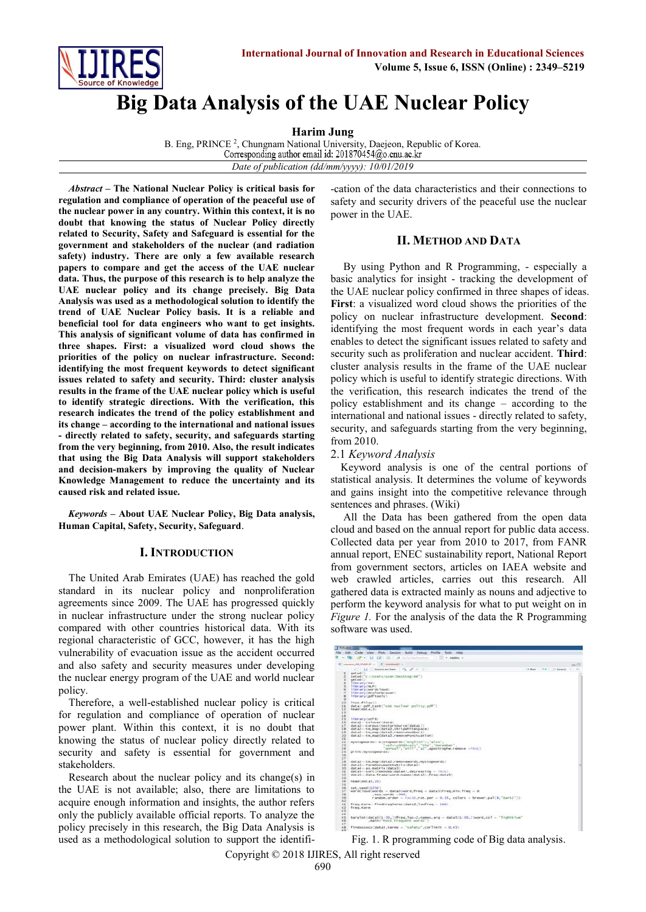

# **Big Data Analysis of the UAE Nuclear Policy**

**Harim Jung** 

B. Eng, PRINCE<sup>2</sup>, Chungnam National University, Daejeon, Republic of Korea. Corresponding author email id: 201870454@o.cnu.ac.kr *Date of publication (dd/mm/yyyy): 10/01/2019*

*Abstract* **– The National Nuclear Policy is critical basis for regulation and compliance of operation of the peaceful use of the nuclear power in any country. Within this context, it is no doubt that knowing the status of Nuclear Policy directly related to Security, Safety and Safeguard is essential for the government and stakeholders of the nuclear (and radiation safety) industry. There are only a few available research papers to compare and get the access of the UAE nuclear data. Thus, the purpose of this research is to help analyze the UAE nuclear policy and its change precisely. Big Data Analysis was used as a methodological solution to identify the trend of UAE Nuclear Policy basis. It is a reliable and beneficial tool for data engineers who want to get insights. This analysis of significant volume of data has confirmed in three shapes. First: a visualized word cloud shows the priorities of the policy on nuclear infrastructure. Second: identifying the most frequent keywords to detect significant issues related to safety and security. Third: cluster analysis results in the frame of the UAE nuclear policy which is useful to identify strategic directions. With the verification, this research indicates the trend of the policy establishment and its change – according to the international and national issues - directly related to safety, security, and safeguards starting from the very beginning, from 2010. Also, the result indicates that using the Big Data Analysis will support stakeholders and decision-makers by improving the quality of Nuclear Knowledge Management to reduce the uncertainty and its caused risk and related issue.**

*Keywords* **– About UAE Nuclear Policy, Big Data analysis, Human Capital, Safety, Security, Safeguard**.

## **I. INTRODUCTION**

The United Arab Emirates (UAE) has reached the gold standard in its nuclear policy and nonproliferation agreements since 2009. The UAE has progressed quickly in nuclear infrastructure under the strong nuclear policy compared with other countries historical data. With its regional characteristic of GCC, however, it has the high vulnerability of evacuation issue as the accident occurred and also safety and security measures under developing the nuclear energy program of the UAE and world nuclear policy.

Therefore, a well-established nuclear policy is critical for regulation and compliance of operation of nuclear power plant. Within this context, it is no doubt that knowing the status of nuclear policy directly related to security and safety is essential for government and stakeholders.

Research about the nuclear policy and its change(s) in the UAE is not available; also, there are limitations to acquire enough information and insights, the author refers only the publicly available official reports. To analyze the policy precisely in this research, the Big Data Analysis is used as a methodological solution to support the identifi-cation of the data characteristics and their connections to safety and security drivers of the peaceful use the nuclear power in the UAE.

## **II. METHOD AND DATA**

By using Python and R Programming, - especially a basic analytics for insight - tracking the development of the UAE nuclear policy confirmed in three shapes of ideas. **First**: a visualized word cloud shows the priorities of the policy on nuclear infrastructure development. **Second**: identifying the most frequent words in each year's data enables to detect the significant issues related to safety and security such as proliferation and nuclear accident. **Third**: cluster analysis results in the frame of the UAE nuclear policy which is useful to identify strategic directions. With the verification, this research indicates the trend of the policy establishment and its change – according to the international and national issues - directly related to safety, security, and safeguards starting from the very beginning, from 2010.

# 2.1 *Keyword Analysis*

Keyword analysis is one of the central portions of statistical analysis. It determines the volume of keywords and gains insight into the competitive relevance through sentences and phrases. (Wiki)

All the Data has been gathered from the open data cloud and based on the annual report for public data access. Collected data per year from 2010 to 2017, from FANR annual report, ENEC sustainability report, National Report from government sectors, articles on IAEA website and web crawled articles, carries out this research. All gathered data is extracted mainly as nouns and adjective to perform the keyword analysis for what to put weight on in *Figure 1.* For the analysis of the data the R Programming software was used.

| 1 8 9 Killedge                                                                                                                                                                                                                                             |                        |
|------------------------------------------------------------------------------------------------------------------------------------------------------------------------------------------------------------------------------------------------------------|------------------------|
| Für Edit Code View Plots Session Build Datus Profile Bols Help                                                                                                                                                                                             |                        |
|                                                                                                                                                                                                                                                            |                        |
| @ Testons AR FAMULP = 1. @ Tenning P. c.                                                                                                                                                                                                                   |                        |
| and the figure on law that if you the                                                                                                                                                                                                                      | without the attacked a |
| getwd()<br>setwol'Cl/Users/user/Desktop/AR")<br><b>Getted(1)</b><br>1 Chr arv (CB)<br>٠<br>11the any (NLP)<br>s<br>6 11br ary (worde loud)<br>Tibrary(RColorBrewer)<br>library(pdftools)<br>$\equiv$                                                       |                        |
| 20<br>$Tf$ st.files()<br>11 data-odf text("cat nuclear policy.pdf")<br>12.7<br>funadidata, 35<br>3.3                                                                                                                                                       |                        |
| 3.4<br>$2.5^{\circ}$<br>11brary(stff)<br>261<br>datal-tolower(data)<br>32.1<br>data2<-Conpusive/torSounce(data1))<br>18 data2 tm_map(data2.stripwhitespace)<br>19 data2-re man(data2.removementers).<br>data2<-tm_map(data2,removePunctuation)<br>20<br>23 |                        |
| 22<br>mystopwords- c(stopwords("english"), also",<br>22<br>"annual", "w511", "a3",apostrophe.remove - "RUE]<br>24<br>2%<br>print (mystopwords).<br>36<br>27                                                                                                |                        |
| 28<br>datal-te_eas(datal,removements,mystopwords)<br>291<br>datal- TermbocumentMatrix(data2)<br>30<br>data4 c-as_matrix(data3)<br>33.<br>data5=sort (rowsum (data4), decreasing = TRIK)<br>32<br>data5--data.frame(word-names(data5),freq-data5)<br>3.3.   |                        |
| 34<br>head(data5,20)<br>35                                                                                                                                                                                                                                 |                        |
| 36<br>set.seed(1234).<br>wordcloud(words - dataSlword, freq - dataSlfreq, ein, freq - 8<br>$37 -$<br>38.<br>$max$ , words $-100$ ,<br>39.<br>random.order = FALSE.rot.per = 0.31, colors = brewer.pal(8,"Dark2")) ><br>40                                  |                        |
| freq.term:-findFreqTermi(datal,lowfreq = 100)<br>43.<br>42<br>freq.term<br>43<br>44                                                                                                                                                                        |                        |
| 4%<br>barplot (dataS(1:30,)Sfreq,las-2,names.arg = dataS(1:30,)Sword.col = "Signthlue"<br>46<br>, mailin-"Mont, Kinedownit, wonds.")<br>47                                                                                                                 |                        |
| findAssocs(data),terms = "safety",corlimit = 0.43)<br>48<br>2051                                                                                                                                                                                           |                        |

Fig. 1. R programming code of Big data analysis.

Copyright © 2018 IJIRES, All right reserved 690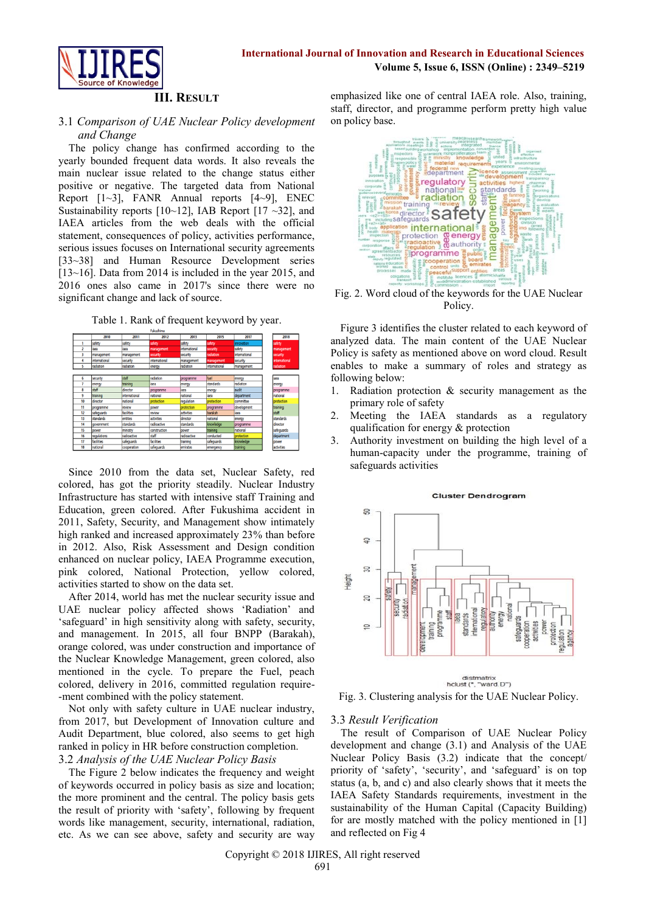

# **III. RESULT**

## 3.1 *Comparison of UAE Nuclear Policy development and Change*

The policy change has confirmed according to the yearly bounded frequent data words. It also reveals the main nuclear issue related to the change status either positive or negative. The targeted data from National Report  $[1-3]$ , FANR Annual reports  $[4-9]$ , ENEC Sustainability reports  $[10~12]$ , IAB Report  $[17~32]$ , and IAEA articles from the web deals with the official statement, consequences of policy, activities performance, serious issues focuses on International security agreements [33~38] and Human Resource Development series  $[13~16]$ . Data from 2014 is included in the year 2015, and 2016 ones also came in 2017's since there were no significant change and lack of source.

Table 1. Rank of frequent keyword by year.

|    | 2010          | 2011          | 2012              | 2013          | 2015          | 2017          | 2018          |
|----|---------------|---------------|-------------------|---------------|---------------|---------------|---------------|
|    | safety        | safety        | safety            | safety        | safety        | innovation    | safety        |
| 2  | laea          | laea          | management        | international | security      | safety        | management    |
| 3  | management    | management    | security          | security      | radiation     | international | security      |
| 4  | international | security      | international     | management    | management    | security      | international |
| S  | radiation     | radiation     | energy            | radiation     | international | management    | radiation     |
|    |               |               |                   |               |               |               |               |
| 6  | security      | staff         | radiation         | programme     | fuel          | energy        | iaea          |
|    | energy        | training      | iaea              | energy        | standards     | radiation     | energy        |
| 8  | staff         | director      | programme         | laea          | energy        | audit         | programme     |
| 9  | training      | international | national          | national      | laea          | department    | national      |
| 10 | director      | national      | protection        | regulation    | protection    | committee     | protection    |
| 11 | programme     | review        | power             | protection    | programme     | development   | training      |
| 12 | safeguards    | facilities    | review            | activities    | barakah       | iaea          | staff         |
| 13 | standards     | entities      | activities        | director      | national      | energy        | standards     |
| 14 | government    | standards     | radioactive       | standards     | knowledge     | programme     | director      |
| 15 | power         | ministry      | construction      | power         | training      | national      | safequards    |
| 16 | regulations   | radioactive   | staff             | radioactive   | conducted     | protection    | department    |
| 17 | facilities    | safequards    | <b>facilities</b> | training      | safeguards    | knowledge     | power         |
| 18 | national      | cooperation   | safequards        | emirates      | emergency     | training      | activities    |

Since 2010 from the data set, Nuclear Safety, red colored, has got the priority steadily. Nuclear Industry Infrastructure has started with intensive staff Training and Education, green colored. After Fukushima accident in 2011, Safety, Security, and Management show intimately high ranked and increased approximately 23% than before in 2012. Also, Risk Assessment and Design condition enhanced on nuclear policy, IAEA Programme execution, pink colored, National Protection, yellow colored, activities started to show on the data set.

After 2014, world has met the nuclear security issue and UAE nuclear policy affected shows 'Radiation' and 'safeguard' in high sensitivity along with safety, security, and management. In 2015, all four BNPP (Barakah), orange colored, was under construction and importance of the Nuclear Knowledge Management, green colored, also mentioned in the cycle. To prepare the Fuel, peach colored, delivery in 2016, committed regulation require- -ment combined with the policy statement.

Not only with safety culture in UAE nuclear industry, from 2017, but Development of Innovation culture and Audit Department, blue colored, also seems to get high ranked in policy in HR before construction completion. 3.2 *Analysis of the UAE Nuclear Policy Basis*

The Figure 2 below indicates the frequency and weight of keywords occurred in policy basis as size and location; the more prominent and the central. The policy basis gets the result of priority with 'safety', following by frequent words like management, security, international, radiation, etc. As we can see above, safety and security are way emphasized like one of central IAEA role. Also, training, staff, director, and programme perform pretty high value on policy base.



Fig. 2. Word cloud of the keywords for the UAE Nuclear Policy.

Figure 3 identifies the cluster related to each keyword of analyzed data. The main content of the UAE Nuclear Policy is safety as mentioned above on word cloud. Result enables to make a summary of roles and strategy as following below:

- 1. Radiation protection & security management as the primary role of safety
- 2. Meeting the IAEA standards as a regulatory qualification for energy & protection
- 3. Authority investment on building the high level of a human-capacity under the programme, training of safeguards activities



#### **Cluster Dendrogram**

Fig. 3. Clustering analysis for the UAE Nuclear Policy.

distmatrix<br>hclust (\*, "ward.D")

## 3.3 *Result Verification*

The result of Comparison of UAE Nuclear Policy development and change (3.1) and Analysis of the UAE Nuclear Policy Basis (3.2) indicate that the concept/ priority of 'safety', 'security', and 'safeguard' is on top status (a, b, and c) and also clearly shows that it meets the IAEA Safety Standards requirements, investment in the sustainability of the Human Capital (Capacity Building) for are mostly matched with the policy mentioned in [1] and reflected on Fig 4

Copyright © 2018 IJIRES, All right reserved 691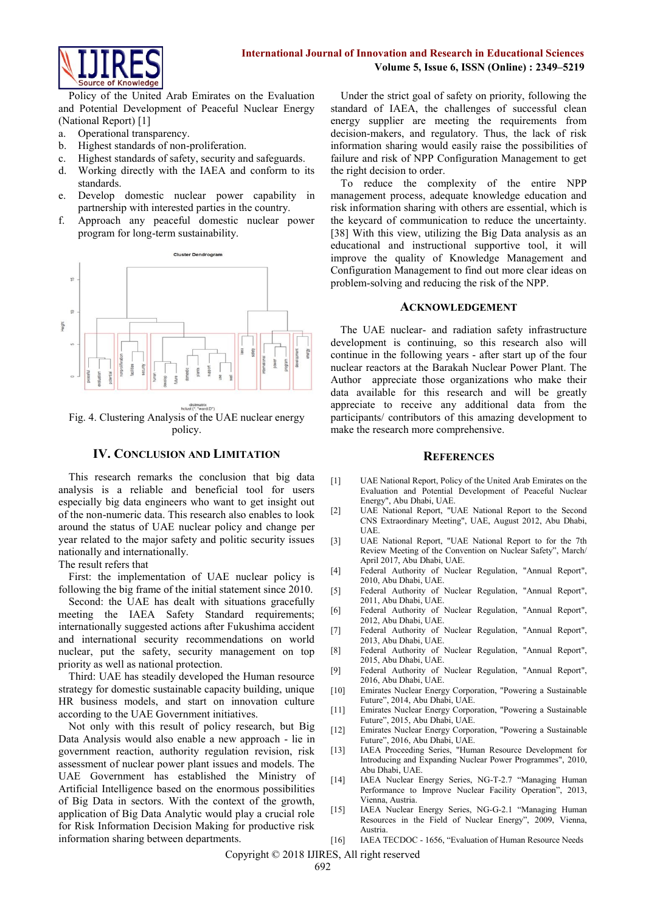

Policy of the United Arab Emirates on the Evaluation and Potential Development of Peaceful Nuclear Energy (National Report) [1]

- a. Operational transparency.
- b. Highest standards of non-proliferation.
- c. Highest standards of safety, security and safeguards.
- d. Working directly with the IAEA and conform to its standards.
- e. Develop domestic nuclear power capability in partnership with interested parties in the country.
- f. Approach any peaceful domestic nuclear power program for long-term sustainability.



Fig. 4. Clustering Analysis of the UAE nuclear energy policy.

# **IV. CONCLUSION AND LIMITATION**

This research remarks the conclusion that big data analysis is a reliable and beneficial tool for users especially big data engineers who want to get insight out of the non-numeric data. This research also enables to look around the status of UAE nuclear policy and change per year related to the major safety and politic security issues nationally and internationally.

The result refers that

First: the implementation of UAE nuclear policy is following the big frame of the initial statement since 2010.

Second: the UAE has dealt with situations gracefully meeting the IAEA Safety Standard requirements; internationally suggested actions after Fukushima accident and international security recommendations on world nuclear, put the safety, security management on top priority as well as national protection.

Third: UAE has steadily developed the Human resource strategy for domestic sustainable capacity building, unique HR business models, and start on innovation culture according to the UAE Government initiatives.

Not only with this result of policy research, but Big Data Analysis would also enable a new approach - lie in government reaction, authority regulation revision, risk assessment of nuclear power plant issues and models. The UAE Government has established the Ministry of Artificial Intelligence based on the enormous possibilities of Big Data in sectors. With the context of the growth, application of Big Data Analytic would play a crucial role for Risk Information Decision Making for productive risk information sharing between departments.

Under the strict goal of safety on priority, following the standard of IAEA, the challenges of successful clean energy supplier are meeting the requirements from decision-makers, and regulatory. Thus, the lack of risk information sharing would easily raise the possibilities of failure and risk of NPP Configuration Management to get the right decision to order.

To reduce the complexity of the entire NPP management process, adequate knowledge education and risk information sharing with others are essential, which is the keycard of communication to reduce the uncertainty. [38] With this view, utilizing the Big Data analysis as an educational and instructional supportive tool, it will improve the quality of Knowledge Management and Configuration Management to find out more clear ideas on problem-solving and reducing the risk of the NPP.

### **ACKNOWLEDGEMENT**

The UAE nuclear- and radiation safety infrastructure development is continuing, so this research also will continue in the following years - after start up of the four nuclear reactors at the Barakah Nuclear Power Plant. The Author appreciate those organizations who make their data available for this research and will be greatly appreciate to receive any additional data from the participants/ contributors of this amazing development to make the research more comprehensive.

#### **REFERENCES**

- [1] UAE National Report, Policy of the United Arab Emirates on the Evaluation and Potential Development of Peaceful Nuclear Energy", Abu Dhabi, UAE.
- [2] UAE National Report, "UAE National Report to the Second CNS Extraordinary Meeting", UAE, August 2012, Abu Dhabi, **IIAE**
- [3] UAE National Report, "UAE National Report to for the 7th Review Meeting of the Convention on Nuclear Safety", March/ April 2017, Abu Dhabi, UAE.
- [4] Federal Authority of Nuclear Regulation, "Annual Report", 2010, Abu Dhabi, UAE.
- [5] Federal Authority of Nuclear Regulation, "Annual Report", 2011, Abu Dhabi, UAE.
- [6] Federal Authority of Nuclear Regulation, "Annual Report", 2012, Abu Dhabi, UAE.
- [7] Federal Authority of Nuclear Regulation, "Annual Report", 2013, Abu Dhabi, UAE.
- [8] Federal Authority of Nuclear Regulation, "Annual Report", 2015, Abu Dhabi, UAE.
- [9] Federal Authority of Nuclear Regulation, "Annual Report", 2016, Abu Dhabi, UAE.
- [10] Emirates Nuclear Energy Corporation, "Powering a Sustainable Future", 2014, Abu Dhabi, UAE.
- [11] Emirates Nuclear Energy Corporation, "Powering a Sustainable Future", 2015, Abu Dhabi, UAE.
- [12] Emirates Nuclear Energy Corporation, "Powering a Sustainable Future", 2016, Abu Dhabi, UAE.
- [13] IAEA Proceeding Series, "Human Resource Development for Introducing and Expanding Nuclear Power Programmes", 2010, Abu Dhabi, UAE.
- [14] IAEA Nuclear Energy Series, NG-T-2.7 "Managing Human Performance to Improve Nuclear Facility Operation", 2013, Vienna, Austria.
- [15] IAEA Nuclear Energy Series, NG-G-2.1 "Managing Human Resources in the Field of Nuclear Energy", 2009, Vienna, Austria.
- [16] IAEA TECDOC 1656, "Evaluation of Human Resource Needs

Copyright © 2018 IJIRES, All right reserved